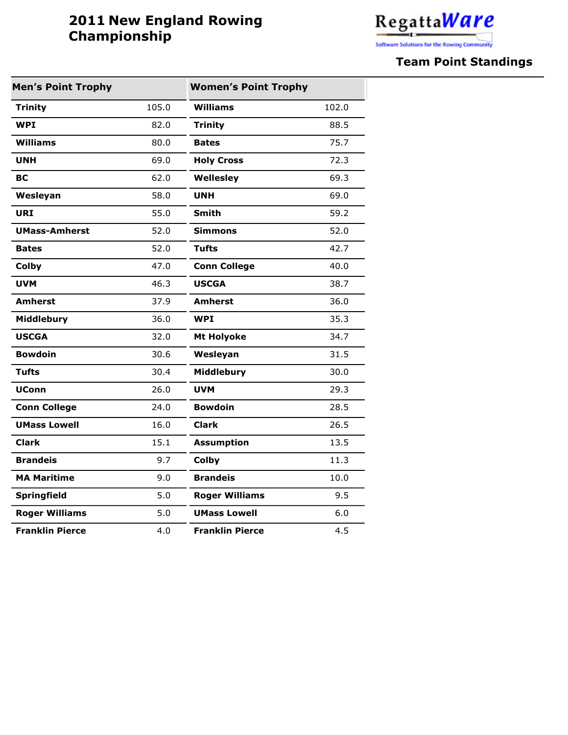## **2011 New England Rowing Championship**



## **Team Point Standings**

| <b>Men's Point Trophy</b> |       | <b>Women's Point Trophy</b> |       |
|---------------------------|-------|-----------------------------|-------|
| <b>Trinity</b>            | 105.0 | Williams                    | 102.0 |
| <b>WPI</b>                | 82.0  | <b>Trinity</b>              | 88.5  |
| <b>Williams</b>           | 80.0  | <b>Bates</b>                | 75.7  |
| <b>UNH</b>                | 69.0  | <b>Holy Cross</b>           | 72.3  |
| <b>BC</b>                 | 62.0  | Wellesley                   | 69.3  |
| Wesleyan                  | 58.0  | <b>UNH</b>                  | 69.0  |
| <b>URI</b>                | 55.0  | <b>Smith</b>                | 59.2  |
| <b>UMass-Amherst</b>      | 52.0  | <b>Simmons</b>              | 52.0  |
| <b>Bates</b>              | 52.0  | <b>Tufts</b>                | 42.7  |
| Colby                     | 47.0  | <b>Conn College</b>         | 40.0  |
| <b>UVM</b>                | 46.3  | <b>USCGA</b>                | 38.7  |
| <b>Amherst</b>            | 37.9  | <b>Amherst</b>              | 36.0  |
| Middlebury                | 36.0  | <b>WPI</b>                  | 35.3  |
| <b>USCGA</b>              | 32.0  | <b>Mt Holyoke</b>           | 34.7  |
| <b>Bowdoin</b>            | 30.6  | Wesleyan                    | 31.5  |
| <b>Tufts</b>              | 30.4  | Middlebury                  | 30.0  |
| <b>UConn</b>              | 26.0  | <b>UVM</b>                  | 29.3  |
| <b>Conn College</b>       | 24.0  | <b>Bowdoin</b>              | 28.5  |
| <b>UMass Lowell</b>       | 16.0  | <b>Clark</b>                | 26.5  |
| <b>Clark</b>              | 15.1  | <b>Assumption</b>           | 13.5  |
| <b>Brandeis</b>           | 9.7   | Colby                       | 11.3  |
| <b>MA Maritime</b>        | 9.0   | <b>Brandeis</b>             | 10.0  |
| <b>Springfield</b>        | 5.0   | <b>Roger Williams</b>       | 9.5   |
| <b>Roger Williams</b>     | 5.0   | <b>UMass Lowell</b>         | 6.0   |
| <b>Franklin Pierce</b>    | 4.0   | <b>Franklin Pierce</b>      | 4.5   |